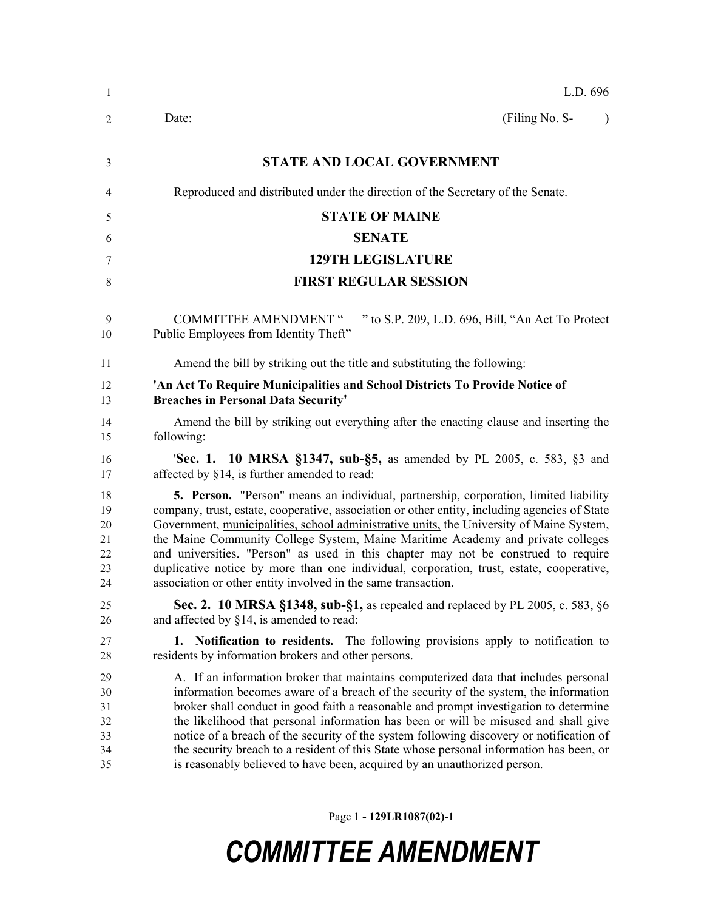| $\mathbf{1}$                           | L.D. 696                                                                                                                                                                                                                                                                                                                                                                                                                                                                                                                                                                                                                      |
|----------------------------------------|-------------------------------------------------------------------------------------------------------------------------------------------------------------------------------------------------------------------------------------------------------------------------------------------------------------------------------------------------------------------------------------------------------------------------------------------------------------------------------------------------------------------------------------------------------------------------------------------------------------------------------|
| 2                                      | (Filing No. S-<br>Date:                                                                                                                                                                                                                                                                                                                                                                                                                                                                                                                                                                                                       |
| 3                                      | <b>STATE AND LOCAL GOVERNMENT</b>                                                                                                                                                                                                                                                                                                                                                                                                                                                                                                                                                                                             |
| 4                                      | Reproduced and distributed under the direction of the Secretary of the Senate.                                                                                                                                                                                                                                                                                                                                                                                                                                                                                                                                                |
| 5                                      | <b>STATE OF MAINE</b>                                                                                                                                                                                                                                                                                                                                                                                                                                                                                                                                                                                                         |
| 6                                      | <b>SENATE</b>                                                                                                                                                                                                                                                                                                                                                                                                                                                                                                                                                                                                                 |
| 7                                      | <b>129TH LEGISLATURE</b>                                                                                                                                                                                                                                                                                                                                                                                                                                                                                                                                                                                                      |
| 8                                      | <b>FIRST REGULAR SESSION</b>                                                                                                                                                                                                                                                                                                                                                                                                                                                                                                                                                                                                  |
| 9<br>10                                | " to S.P. 209, L.D. 696, Bill, "An Act To Protect<br><b>COMMITTEE AMENDMENT "</b><br>Public Employees from Identity Theft"                                                                                                                                                                                                                                                                                                                                                                                                                                                                                                    |
| 11                                     | Amend the bill by striking out the title and substituting the following:                                                                                                                                                                                                                                                                                                                                                                                                                                                                                                                                                      |
| 12<br>13                               | 'An Act To Require Municipalities and School Districts To Provide Notice of<br><b>Breaches in Personal Data Security'</b>                                                                                                                                                                                                                                                                                                                                                                                                                                                                                                     |
| 14<br>15                               | Amend the bill by striking out everything after the enacting clause and inserting the<br>following:                                                                                                                                                                                                                                                                                                                                                                                                                                                                                                                           |
| 16<br>17                               | <b>Sec. 1. 10 MRSA §1347, sub-§5, as amended by PL 2005, c. 583, §3 and</b><br>affected by §14, is further amended to read:                                                                                                                                                                                                                                                                                                                                                                                                                                                                                                   |
| 18<br>19<br>20<br>21<br>22<br>23<br>24 | 5. Person. "Person" means an individual, partnership, corporation, limited liability<br>company, trust, estate, cooperative, association or other entity, including agencies of State<br>Government, municipalities, school administrative units, the University of Maine System,<br>the Maine Community College System, Maine Maritime Academy and private colleges<br>and universities. "Person" as used in this chapter may not be construed to require<br>duplicative notice by more than one individual, corporation, trust, estate, cooperative,<br>association or other entity involved in the same transaction.       |
| 25<br>26                               | <b>Sec. 2. 10 MRSA §1348, sub-§1,</b> as repealed and replaced by PL 2005, c. 583, §6<br>and affected by $\S 14$ , is amended to read:                                                                                                                                                                                                                                                                                                                                                                                                                                                                                        |
| 27<br>28                               | 1. Notification to residents. The following provisions apply to notification to<br>residents by information brokers and other persons.                                                                                                                                                                                                                                                                                                                                                                                                                                                                                        |
| 29<br>30<br>31<br>32<br>33<br>34<br>35 | A. If an information broker that maintains computerized data that includes personal<br>information becomes aware of a breach of the security of the system, the information<br>broker shall conduct in good faith a reasonable and prompt investigation to determine<br>the likelihood that personal information has been or will be misused and shall give<br>notice of a breach of the security of the system following discovery or notification of<br>the security breach to a resident of this State whose personal information has been, or<br>is reasonably believed to have been, acquired by an unauthorized person. |

Page 1 **- 129LR1087(02)-1**

## *COMMITTEE AMENDMENT*